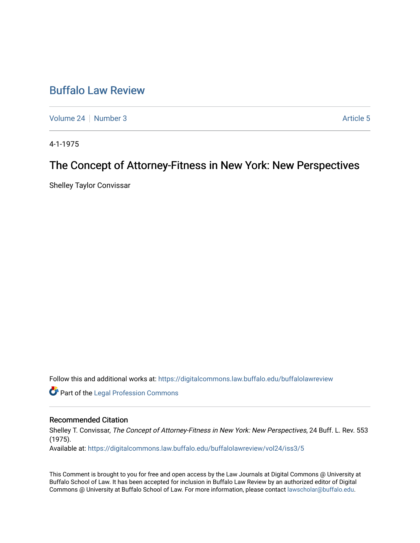# [Buffalo Law Review](https://digitalcommons.law.buffalo.edu/buffalolawreview)

[Volume 24](https://digitalcommons.law.buffalo.edu/buffalolawreview/vol24) | [Number 3](https://digitalcommons.law.buffalo.edu/buffalolawreview/vol24/iss3) Article 5

4-1-1975

# The Concept of Attorney-Fitness in New York: New Perspectives

Shelley Taylor Convissar

Follow this and additional works at: [https://digitalcommons.law.buffalo.edu/buffalolawreview](https://digitalcommons.law.buffalo.edu/buffalolawreview?utm_source=digitalcommons.law.buffalo.edu%2Fbuffalolawreview%2Fvol24%2Fiss3%2F5&utm_medium=PDF&utm_campaign=PDFCoverPages) 

**Part of the [Legal Profession Commons](http://network.bepress.com/hgg/discipline/1075?utm_source=digitalcommons.law.buffalo.edu%2Fbuffalolawreview%2Fvol24%2Fiss3%2F5&utm_medium=PDF&utm_campaign=PDFCoverPages)** 

# Recommended Citation

Shelley T. Convissar, The Concept of Attorney-Fitness in New York: New Perspectives, 24 Buff. L. Rev. 553 (1975).

Available at: [https://digitalcommons.law.buffalo.edu/buffalolawreview/vol24/iss3/5](https://digitalcommons.law.buffalo.edu/buffalolawreview/vol24/iss3/5?utm_source=digitalcommons.law.buffalo.edu%2Fbuffalolawreview%2Fvol24%2Fiss3%2F5&utm_medium=PDF&utm_campaign=PDFCoverPages) 

This Comment is brought to you for free and open access by the Law Journals at Digital Commons @ University at Buffalo School of Law. It has been accepted for inclusion in Buffalo Law Review by an authorized editor of Digital Commons @ University at Buffalo School of Law. For more information, please contact [lawscholar@buffalo.edu](mailto:lawscholar@buffalo.edu).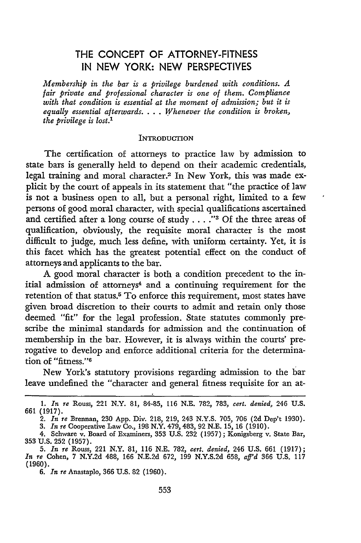# THE CONCEPT OF ATTORNEY-FITNESS **IN NEW** YORK: NEW PERSPECTIVES

*Membership in the bar is a privilege burdened with conditions. A fair private and professional character is one of them. Compliance with that condition is essential at the moment of admission; but it is equally essential afterwards.* . **.** . *Whenever the condition is broken, the privilege is lost.1*

#### **INTRODUCTION**

The certification of attorneys to practice law by admission to state bars is generally held to depend on their academic credentials, legal training and moral character.2 In New York, this was made explicit by the court of appeals in its statement that "the practice of law is not a business open to all, but a personal right, limited to a few persons of good moral character, with special qualifications ascertained and certified after a long course of study .... *-"3* Of the three areas of qualification, obviously, the requisite moral character is the most difficult to judge, much less define, with uniform certainty. Yet, it is this facet which has the greatest potential effect on the conduct of attorneys and applicants to the bar.

**A** good moral character is both a condition precedent to the initial admission of attorneys<sup>4</sup> and a continuing requirement for the retention of that status.5 To enforce this requirement, most states have given broad discretion to their courts to admit and retain only those deemed "fit" for the legal profession. State statutes commonly prescribe the minimal standards for admission and the continuation of membership in the bar. However, it is always within the courts' prerogative to develop and enforce additional criteria for the determination of "fitness."<sup>6</sup>

New York's statutory provisions regarding admission to the bar leave undefined the "character and general fitness requisite for an at-

**<sup>1.</sup>** *In re* Rouss, 221 N.Y. **81,** 84-85, **116** N.E. 782, 783, *cert. denied,* 246 U.S. 661 (1917).

<sup>2.</sup> *In re* Brennan, 230 App. Div. 218, 219, 243 N.Y.S. 705, 706 (2d Dep't 1930).

<sup>3.</sup> *In re* Cooperative Law Co., 198 N.Y. 479, 483, 92 N.E. **15, 16** (1910). 4. Schware v. Board of Examiners, 353 U.S. 232 (1957); Konigsberg v. State Bar, 353 U.S. 252 (1957).

<sup>5.</sup> *In re* Rouss, 221 N.Y. *81,* 116 N.E. 782, *cert. denied,* 246 U.S. 661 (1917); *In re* Cohen, 7 N.Y.2d 488, 166 N.E.2d 672, 199 N.Y.S.2d 658, *aff'd* 366 U.S. 117 (1960).

<sup>6.</sup> *In* re Anastaplo, 366 U.S. **82** (1960).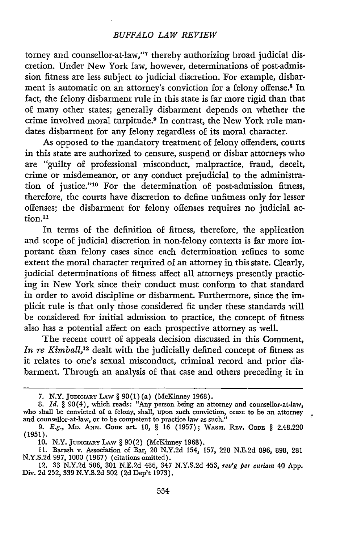#### *BUFFALO LAW REVIEW*

torney and counsellor-at-law,"7 thereby authorizing broad judicial discretion. Under New York law, however, determinations of post-admission fitness are less subject to judicial discretion. For example, disbarment is automatic on an attorney's conviction for a felony offense.8 In fact, the felony disbarment rule in this state is far more rigid than that of many other states; generally disbarment depends on whether the crime involved moral turpitude.<sup>9</sup> In contrast, the New York rule mandates disbarment for any felony regardless of its moral character.

As opposed to the mandatory treatment of felony offenders, courts in this state are authorized to censure, suspend or disbar attorneys who are "guilty of professional misconduct, malpractice, fraud, deceit, crime or misdemeanor, or any conduct prejudicial to the administration of justice."<sup>10</sup> For the determination of post-admission fitness, therefore, the courts have discretion to define unfitness only for lesser offenses; the disbarment for felony offenses requires no judicial action.<sup>11</sup>

In terms of the definition of fitness, therefore, the application and scope of judicial discretion in non-felony contexts is far more important than felony cases since each determination refines to some extent the moral character required of an attorney in this state. Clearly, judicial determinations of fitness affect all attorneys presently practicing in New York since their conduct must conform to that standard in order to avoid discipline or disbarment. Furthermore, since the implicit rule is that only those considered fit under these standards will be considered for initial admission to practice, the concept of fitness also has a potential affect on each prospective attorney as well.

The recent court of appeals decision discussed in this Comment, *In re Kimball*,<sup>12</sup> dealt with the judicially defined concept of fitness as it relates to one's sexual misconduct, criminal record and prior disbarment. Through an analysis of that case and others preceding it in

<sup>7.</sup> N.Y. **JUDICIARY** LAW § 90(1) (a) (McKinney 1968).

<sup>8.</sup> *Id.* § 90(4), which reads: "Any person being an attorney and counsellor-at-law, who shall be convicted of a felony, shall, upon such conviction, cease to be an attorney and counsellor-at-law, or to be competent to practice law as such.<sup>1</sup>

<sup>9.</sup> *E.g., MD.* **ANN. CODE** art. 10, § 16 (1957); WAsHr. REV. **CODE** § 2.48.220 (1951).

<sup>10.</sup> N.Y. **JUDIcLARY** LAw § **90(2)** (McKinney 1968).

<sup>11.</sup> Barash v. Association of Bar, 20 N.Y.2d 154, 157, **228** N.E.2d **896, 898,** 281 N.Y.S.2d 997, 1000 (1967) (citations omitted).

<sup>12.</sup> **33** N.Y.2d 586, **301** N.E.2d 436, 347 N.Y.S.2d 453, *rev'g per curiam* 40 App. Div. **2d 252, 339** N.Y.S.2d **302 (2d** Dep't 1973).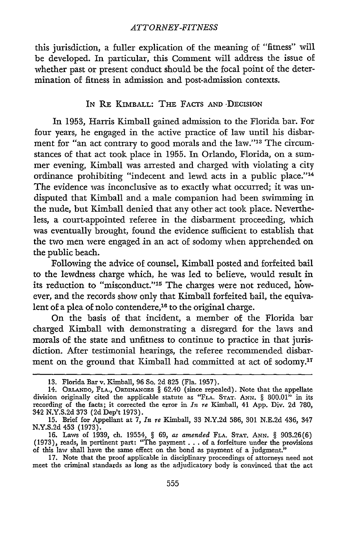this jurisdiction, a fuller explication of the meaning of "fitness" will be developed. In particular, this Comment will address the issue of whether past or present conduct should be the focal point of the determination of fitness in admission and post-admission contexts.

## IN RE KIMBALL: THE FACTS **AND ,DECISION**

In 1953, Harris Kimball gained admission to the Florida bar. For four years, he engaged in the active practice of law until his disbarment for "an act contrary to good morals and the law."<sup>13</sup> The circumstances of that act took place in 1955. In Orlando, Florida, on a summer evening, Kimball was arrested and charged with violating a city ordinance prohibiting "indecent and lewd acts in a public place."<sup>14</sup> The evidence was inconclusive as to exactly what occurred; it was undisputed that Kimball and a male companion had been swimming in the nude, but Kimball denied that any other act took place. Nevertheless, a court-appointed referee in the disbarment proceeding, which was eventually brought, found the evidence sufficient to establish that the two men were engaged in an act of sodomy when apprehended on the public beach.

Following the advice of counsel, Kimball posted and forfeited bail to the lewdness charge which, he was led to believe, would result in its reduction to "misconduct."<sup>15</sup> The charges were not reduced, however, and the records show only that Kimball forfeited bail, the equivalent of a plea of nolo contendere,<sup>16</sup> to the original charge.

On the basis of that incident, a member of the Florida bar charged Kimball with demonstrating a disregard for the laws and morals of the state and unfitness to continue to practice in that jurisdiction. After testimonial hearings, the referee recommended disbarment on the ground that Kimball had committed at act of sodomy.<sup>17</sup>

**<sup>13.</sup>** Florida Bar v. Kimball, 96 So. **2d 825** (Fla. 1957).

<sup>14.</sup> ORLANDo, FLA., ORDINANCES § 62.40 (since repealed). Note that the appellate division originally cited the applicable statute as 'FLA. **STAT. ANN.** § 800.01" in its recording of the facts; it corrected the error in *In re* Kimball, 41 **App.** Div. **2d** 780, 342 **N.Y.S.2d** 373 **(2d** Dep't 1973).

**<sup>15.</sup>** Brief for Appellant at 7, In *re* Kimball, 33 **N.Y.2d** 586, **301 N.E.2d** 436, 347 **N.Y.S.2d** 453 (1973).

<sup>16.</sup> Laws of 1939, cl. 19554, § 69, *as amended* **FLA. STAT. ANN.** § 903.26(6) (1973), reads, in pertinent part: "The payment . **..** of a forfeiture under the provisions of this law shall have the same effect on the bond as payment of a judgment."

<sup>17.</sup> Note that the proof applicable in disciplinary proceedings of attorneys need not meet the criminal standards as long as the adjudicatory body is convinced that the act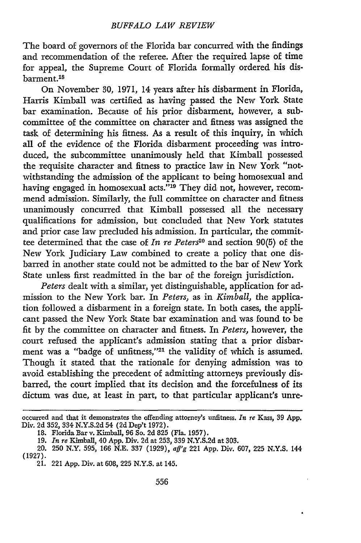The board of governors of the Florida bar concurred with the findings and recommendation of the referee. After the required lapse of time for appeal, the Supreme Court of Florida formally ordered his disbarment.<sup>18</sup>

On November **30, 1971,** 14 years after his disbarment in Florida, Harris Kimball was certified as having passed the New York State bar examination. Because of his prior disbarment, however, a subcommittee of the committee on character and fitness was assigned the task of determining his fitness. As a result of this inquiry, in which all of the evidence of the Florida disbarment proceeding was introduced, the subcommittee unanimously held that Kimball possessed the requisite character and fitness to practice law in New York "notwithstanding the admission of the applicant to being homosexual and having engaged in homosexual acts."<sup>19</sup> They did not, however, recommend admission. Similarly, the full committee on character and fitness unanimously concurred that Kimball possessed all the necessary qualifications for admission, but concluded that New York statutes and prior case law precluded his admission. In particular, the committee determined that the case of *In re Peters20* and section 90(5) of the New York Judiciary Law combined to create a policy that one disbarred in another state could not be admitted to the bar of New York State unless first readmitted in the bar of the foreign jurisdiction.

*Peters* dealt with a similar, yet distinguishable, application for admission to the New York bar. In *Peters,* as in *Kimball,* the application followed a disbarment in a foreign state. In both cases, the applicant passed the New York State bar examination and was found to be fit by the committee on character and fitness. In *Peters,* however, the court refused the applicant's admission stating that a prior disbarment was a "badge of unfitness,"<sup>21</sup> the validity of which is assumed. Though it stated that the rationale for denying admission was to avoid establishing the precedent of admitting attorneys previously disbarred, the court implied that its decision and the forcefulness of its dictum was due, at least in part, to that particular applicant's unre-

occurred and that it demonstrates the offending attorney's unfitness. *In re* Kass, **39 App.** Div. 2d 352, 334 N.Y.S.2d 54 (2d Dep't 1972).

**<sup>18.</sup>** Florida Bar v. Kimball, 96 So. 2d 825 (Fla. 1957).

**<sup>19.</sup>** *In re* Kimball, 40 App. Div. 2d at 253, 339 N.Y.S.2d at 303.

<sup>20.</sup> **250** N.Y. 595, 166 N.E. 337 **(1929),** *aff'g* 221 App. Div. 607, **225** N.Y.S. 144 (1927).

<sup>21. 221</sup> App. Div. at 608, 225 N.Y.S. at 145.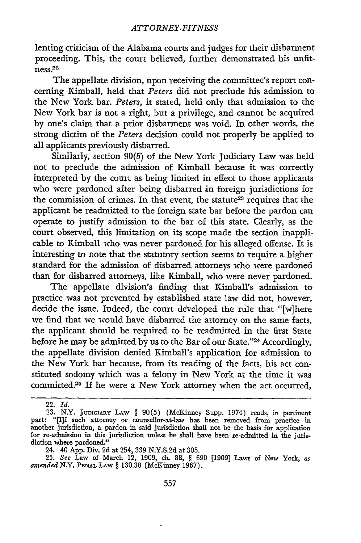lenting criticism of the Alabama courts and judges for their disbarment proceeding. This, the court believed, further demonstrated his unfitness. 22

The appellate division, upon receiving the committee's report concerning Kimball, held that *Peters* did not preclude his admission to the New York bar. *Peters,* it stated, held only that admission to the New York bar is not a right, but a privilege, and cannot be acquired by one's claim that a prior disbarment was void. In other words, the strong dictim of the *Peters* decision could not properly be applied to all applicants previously disbarred.

Similarly, section 90(5) of the New York Judiciary Law was held not to preclude the admission of Kimball because it was correctly interpreted by the court as being limited in effect to those applicants who were pardoned after being disbarred in foreign jurisdictions for the commission of crimes. In that event, the statute<sup>23</sup> requires that the applicant be readmitted to the foreign state bar before the pardon can operate to justify admission to the bar of this state. Clearly, as the court observed, this limitation on its scope made the section inapplicable to Kimball who was never pardoned for his alleged offense. It is interesting to note that the statutory section seems to require a higher standard for the admission of disbarred attorneys who were pardoned than for disbarred attorneys, like Kimball, who were never pardoned.

The appellate division's finding that Kimball's admission to practice was not prevented by established state law did not, however, decide the issue. Indeed, the court developed the rule that "[w]here we find that we would have disbarred the attorney on the same facts, the applicant should be required to be readmitted in the first State before he may be admitted by us to the Bar of our State."<sup>24</sup> Accordingly, the appellate division denied Kimball's application for admission to the New York bar because, from its reading of the facts, his act constituted sodomy which was a felony in New York at the time it was committed.<sup>25</sup> If he were a New York attorney when the act occurred,

**25.** *See* Law of March 12, **1909,** ch. 88, § **690 [1909]** Laws of New York, *as amended* N.Y. **PENAL LAW** § 130.38 (McKinney **1967).**

<sup>22.</sup> *Id.*

**<sup>23.</sup>** N.Y. **JUDICIARY LAW** § 90(5) (McKinney Supp. 1974) reads, in pertinent part: "[I]f such attorney or counsellor-at-law has been removed from practice in another jurisdiction, a pardon in said jurisdiction shall not be the basis for application for re-admission in this jurisdiction unless he shall have been re-admitted in the jurisdiction where pardoned."

<sup>24. 40</sup> App. Div. 2d at 254, 339 N.Y.S.2d at 305.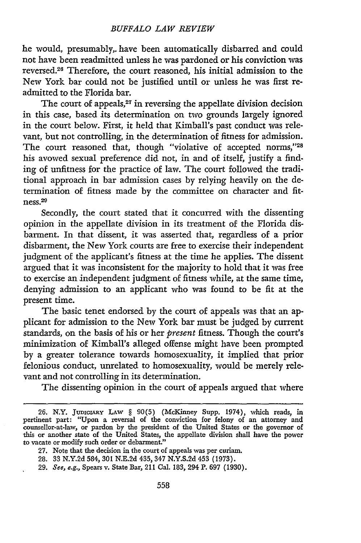he would, presumably,. have been automatically disbarred and could not have been readmitted unless he was pardoned or his conviction was reversed.26 Therefore, the court reasoned, his initial admission to the New York bar could not be justified until or unless he was first readmitted to the Florida bar.

The court of appeals,<sup>27</sup> in reversing the appellate division decision in this case, based its determination on two grounds largely ignored in the court below. First, it held that Kimball's past conduct was relevant, but not controlling, in the determination of fitness for admission. The court reasoned that, though "violative of accepted norms,"28 his avowed sexual preference did not, in and of itself, justify a finding of unfitness for the practice of law. The court followed the traditional approach in bar admission cases by relying heavily on the determination of fitness made by the committee on character and fit $ness.<sup>29</sup>$ 

Secondly, the court stated that it concurred with the dissenting opinion in the appellate division in its treatment of the Florida disbarment. In that dissent, it was asserted that, regardless of a prior disbarment, the New York courts are free to exercise their independent judgment of the applicant's fitness at the time he applies. The dissent argued that it was inconsistent for the majority to hold that it was free to exercise an independent judgment of fitness while, at the same time, denying admission to an applicant who was found to be fit at the present time.

The basic tenet endorsed by the court of appeals was that an applicant for admission to the New York bar must be judged by current standards, on the basis of his or her *present* fitness. Though the court's minimization of Kimball's alleged offense might have been prompted by a greater tolerance towards homosexuality, it implied that prior felonious conduct, unrelated to homosexuality, would be merely relevant and not controlling in its determination.

The dissenting opinion in the court of appeals argued that where

**<sup>26.</sup>** N.Y. JuniciARY **LAw** § 90(5) (McKinney Supp. 1974), which reads, in pertinent part: "Upon a reversal of the conviction for felony of an attorney and counsellor-at-law, or pardon by the president of the United States or the governor of this or another state of the United States, the appellate division shall have the power to vacate or modify such order or debarment."

**<sup>27.</sup>** Note that the decision in the court of appeals was per curiam.

**<sup>28. 33</sup>** N.Y.2d 584, **301** N.E.2d 435, 347 N.Y.S.2d 453 (1973).

**<sup>29.</sup>** See, e.g., Spears v. State Bar, 211 Gal. 183, 294 P. 697 (1930).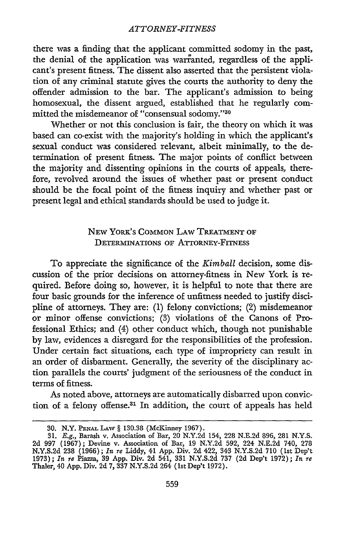there was a finding that the applicant committed sodomy in the past, the denial of the application was warranted, regardless of the applicant's present fitness. The dissent also asserted that the persistent violation of any criminal statute gives the courts the authority to deny the offender admission to the bar. The applicant's admission to being homosexual, the dissent argued, established that he regularly committed the misdemeanor of "consensual sodomy."30

Whether or not this conclusion is fair, the theory on which it was based can co-exist with the majority's holding in which the applicant's sexual conduct was considered relevant, albeit minimally, to the determination of present fitness. The major points of conflict between the majority and dissenting opinions in the courts of appeals, therefore, revolved around the issues of whether past or present conduct should be the focal point of the fitness inquiry and whether past or present legal and ethical standards should be used to judge it.

# NEW YoRK's **COMMON** LAW TREATMENT OF DETERMINATIONS OF ATTORNEY-FITNESS

To appreciate the significance of the *Kimball* decision, some discussion of the prior decisions on attorney-fitness in New York is required. Before doing so, however, it is helpful to note that there are four basic grounds for the inference of unfitness needed to justify discipline of attorneys. They are: (1) felony convictions; (2) misdemeanor or minor offense convictions; (8) violations of the Canons of Professional Ethics; and (4) other conduct which, though not punishable by law, evidences a disregard for the responsibilities of the profession. Under certain fact situations, each type of impropriety can result in an order of disbarment. Generally, the severity of the disciplinary action parallels the courts' judgment of the seriousness of the conduct in terms of fitness.

As noted above, attorneys are automatically disbarred upon conviction of a felony offense.31 In addition, the court of appeals has held

**<sup>30.</sup>** N.Y. **PENAL** LAW § 130.38 (MeKinney **1967).**

<sup>31.</sup> E.g., Barash v. Association of Bar, 20 N.Y.2d 154, **228** N.E.2d 896, 281 N.Y.S. 2d 997 (1967); Devine v. Association of Bar, 19 N.Y.2d 592, 224 N.E.2d 740, 278 N.Y.S.2d **238** (1966); *In re* Liddy, 41 App. Div. 2d 422, 343 N.Y.S.2d 710 (1st Dep't 1973); *In re* Piazza, 39 App. Div. 2d 541, 331 N.Y.S.2d 737 (2d Dep't 1972); *In re* Thaler, 40 App. Div. 2d 7, 337 N.Y.S.2d 264 (lst Dep't 1972).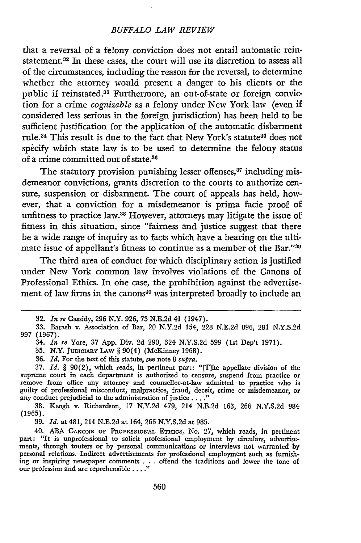#### *BUFFALO LAW REVIEW*

that a reversal of a felony conviction does not entail automatic reinstatement.<sup>32</sup> In these cases, the court will use its discretion to assess all of the circumstances, including the reason for the reversal, to determine whether the attorney would present a danger to his clients or the public if reinstated.<sup>33</sup> Furthermore, an out-of-state or foreign conviction for a crime *cognizable* as a felony under New York law (even if considered less serious in the foreign jurisdiction) has been held to be sufficient justification for the application of the automatic disbarment rule.<sup>34</sup> This result is due to the fact that New York's statute<sup>35</sup> does not specify which state law is to be used to determine the felony status of a crime committed out of state.<sup>36</sup>

The statutory provision punishing lesser offenses,<sup>37</sup> including misdemeanor convictions, grants discretion to the courts to authorize censure, suspension or disbarment. The court of appeals has held, however, that a conviction for a misdemeanor is prima facie proof of unfitness to practice law.<sup>38</sup> However, attorneys may litigate the issue of fitness in this situation, since "fairness and justice suggest that there be a wide range of inquiry as to facts which have a bearing on the ultimate issue of appellant's fitness to continue as a member of the Bar."30

The third area of conduct for which disciplinary action is justified under New York common law involves violations of the Canons of Professional Ethics. In ohe case, the prohibition against the advertisement of law firms in the canons<sup>40</sup> was interpreted broadly to include an

**<sup>32.</sup>** *In re* Cassidy, 296 N.Y. 926, 73 N.E.2d 41 (1947).

<sup>33.</sup> Barash v. Association of Bar, 20 N.Y.2d 154, 228 N.E.2d 896, 281 N.Y.S.2d 997 **(1967).**

<sup>34.</sup> *In re* Yore, 37 **App.** Div. 2d 290, 324 N.Y.S.2d 599 (Ist Dep't 1971).

<sup>35.</sup> N.Y. JUDICIARY LAW § 90(4) (McKinney 1968).

<sup>36.</sup> *Id.* For the text of this statute, see note 8 *supra.*

**<sup>37.</sup>** *Id.* § 90(2), which reads, in pertinent part: "[T]he appellate division of the supreme court in each department is authorized to censure, suspend from practice or remove from office any attorney and counsellor-at-law admitted to practice who is guilty of professional misconduct, malpractice, fraud, deceit, crime or misdemeanor, or any conduct prejudicial to the administration of justice...."

<sup>38.</sup> Keogh v. Richardson, 17 N.Y.2d 479, 214 N.E.2d 163, 266 N.Y.S.2d 984 (1965).

<sup>39.</sup> *Id.* at 481, 214 N.E.2d at 164, 266 N.Y.S.2d at 985.

<sup>40.</sup> **ABA CANONS** OF PROFESSIONAL **ETHICS,** No. 27, which reads, in pertinent part: "It is unprofessional to solicit professional employment **by** circulars, advertisements, through touters or **by** personal communications or interviews not warranted **by** personal relations. Indirect advertisements for professional employment such as furnishing or inspiring newspaper comments **.. .**offend the traditions and lower the tone of our profession and are reprehensible **...."**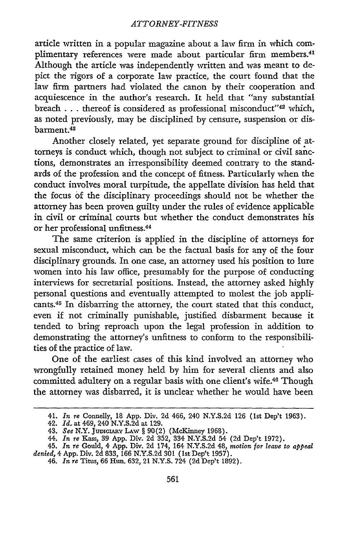article written in a popular magazine about a law firm in which complimentary references were made about particular firm members.<sup>41</sup> Although the article was independently written and was meant to depict the rigors of a corporate law practice, the court found that the law firm partners had violated the canon by their cooperation and acquiescence in the author's research. It held that "any substantial breach  $\dots$  thereof is considered as professional misconduct"<sup>42</sup> which, as noted previously, may be disciplined by censure, suspension or disbarment.<sup>43</sup>

Another closely related, yet separate ground for discipline of attorneys is conduct which, though not subject to criminal or civil sanctions, demonstrates an irresponsibility deemed contrary to the standards of the profession and the concept of fitness. Particularly when the conduct involves moral turpitude, the appellate division has held that the focus **'of** the disciplinary proceedings should not be whether the attorney has been proven guilty under the rules of evidence applicable in civil or criminal courts but whether the conduct demonstrates his or her professional unfitness.<sup>44</sup>

The same criterion is applied in the discipline of attorneys for sexual misconduct, which can be the factual basis for any of the four disciplinary grounds. In one case, an attorney used his position to lure women into his law office, presumably for the purpose of conducting interviews for secretarial positions. Instead, the attorney asked highly personal questions and eventually attempted to molest the job applicants.45 In disbarring the attorney, the court stated that this conduct, even if not criminally punishable, justified disbarment because it tended to bring reproach upon the legal profession in addition to demonstrating the attorney's unfitness to conform to the responsibilities of the practice of law.

One of the earliest cases of this kind involved an attorney who wrongfully retained money held by him for several clients and also committed adultery on a regular basis with one client's wife.46 Though the attorney was disbarred, it is unclear whether he would have been

<sup>41.</sup> *In re* Connelly, 18 App. Div. **2d** 466, 240 N.Y.S.2d **126** (1st Dep't 1963).

<sup>42.</sup> *Id.* at 469, 240 N.Y.S.2d at 129.

<sup>43.</sup> *See* N.Y. **JUDICIARY LAW** § 90(2) (McKinney 1968). 44. *In re* Kass, 39 **App.** Div. **2d** 352, 334 **N.Y.S.2d** 54 **(2d** Dep't 1972).

<sup>45.</sup> *In re* Gould, 4 App. Div. 2d 174, 164 N.Y.S.2d 48, *motion for leave to appeal denied,* 4 App. Div. 2d 833, 166 N.Y.S.2d 301 (1st Dep't 1957).

<sup>46.</sup> *In re* Titus, 66 Hun. 632, 21 N.Y.S. 724 (2dDep't 1892).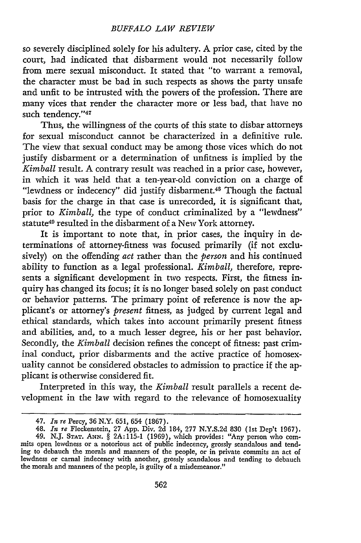so severely disciplined solely for his adultery. **A** prior case, cited by the court, had indicated that disbarment would not necessarily follow from mere sexual misconduct. It stated that "to warrant a removal, the character must be bad in such respects as shows the party unsafe and unfit to be intrusted with the powers of the profession. There are many vices that render the character more or less bad, that have no such tendency."47

Thus, the willingness of the courts of this state to disbar attorneys for sexual misconduct cannot be characterized in a definitive rule. The view that sexual conduct may be among those vices which do not justify disbarment or a determination of unfitness is implied by the *Kimball* result. A contrary result was reached in a prior case, however, in which it was held that a ten-year-old conviction on a charge of "lewdness or indecency" did justify disbarment.<sup>48</sup> Though the factual basis for the charge in that case is unrecorded, it is significant that, prior to *Kimball,* the type of conduct criminalized by a "lewdness" statute<sup>49</sup> resulted in the disbarment of a New York attorney.

It is important to note that, in prior cases, the inquiry in **de**terminations of attorney-fitness was focused primarily (if not exclusively) on the offending *act* rather than the *person* and his continued ability to function as a legal professional. *Kimball,* therefore, represents a significant development in two respects. First, the fitness inquiry has changed its focus; it is no longer based solely on past conduct or behavior patterns. The primary point of reference is now the applicant's or attorney's *present* fitness, as judged by current legal and ethical standards, which takes into account primarily present fitness and abilities, and, to a much lesser degree, his or her past behavior. Secondly, the *Kimball* decision refines the concept of fitness: past criminal conduct, prior disbarments and the active practice of homosexuality cannot be considered obstacles to admission to practice if the applicant is otherwise considered fit.

Interpreted in this way, the *Kimball* result parallels a recent development in the law with regard to the relevance of homosexuality

<sup>47.</sup> *In re* Percy, 36 N.Y. 651, 654 (1867).

<sup>48.</sup> *In re* Fleckenstein, 27 App. Div. 2d 184, 277 N.Y.S.2d 830 (1st Dep't 1967). 49. N.J. **STAT. ANN.** § 2A: 115-1 (1969), which provides: "Any person who commits open lewdness or a notorious act of public indecency, grossly scandalous and tending to debauch the morals and manners of the people, or in private commits an act of lewdness or carnal indecency with another, grossly scandalous and tending to debauch the morals and manners of the people, is guilty of a misdemeanor.'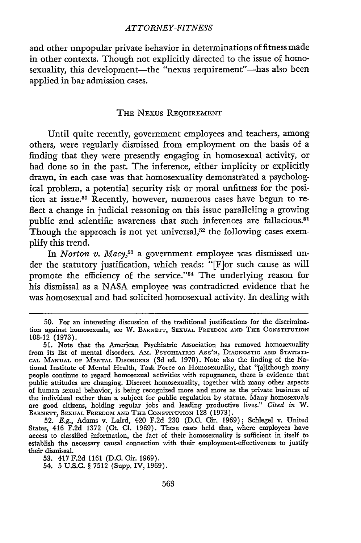and other unpopular private behavior in determinations of fitness made in other contexts. Though not explicitly directed to the issue of homosexuality, this development-the "nexus requirement"-has also been applied in bar admission cases.

### THE NEXUS REQUIREMENT

Until quite recently, government employees and teachers, among others, were regularly dismissed from employment on the basis of a finding that they were presently engaging in homosexual activity, or had done so in the past. The inference, either implicity or explicitly drawn, in each case was that homosexuality demonstrated a psychological problem, a potential security risk or moral unfitness for the position at issue.<sup>50</sup> Recently, however, numerous cases have begun to reflect a change in judicial reasoning on this issue paralleling a growing public and scientific awareness that such inferences are fallacious.<sup>51</sup> Though the approach is not yet universal, $52$  the following cases exem**plify** this trend.

In *Norton v. Macy,53* a government employee was dismissed under the statutory justification, which reads: "[F]or such cause as will promote the efficiency of the service."<sup>54</sup> The underlying reason for his dismissal as a **NASA** employee was contradicted evidence that he was homosexual and had solicited homosexual activity. In dealing with

**<sup>50.</sup>** For an interesting discussion of the traditional justifications for the discrimination against homosexuals, see W. BARNETT, **SEXUAL** FREEDOM **AND** THE **CONSTITUTION 108-12 (1973).**

**<sup>51.</sup>** Note that the American Psychiatric Association has removed homosexuality from its list of mental disorders. AMz. PSYCHIATRIC ASS'N, DIAGNOSTIC **AND** STATISTI-**CAL MANUAL** OF **MENTAL DISORDERS (3d** ed. **1970).** Note also the finding of the National Institute of Mental Health, Task Force on Homosexuality, that "[a]lthough many people continue to regard homosexual activities with repugnance, there is evidence that public attitudes **are** changing. Discreet homosexuality, together with many other aspects of human sexual behavior, is being recognized more and more as the private business of the individual rather than a subject for public regulation **by** statute. Many homosexuals are good citizens, holding regular jobs and leading productive lives." *Cited in* W. BARNETT, **SEXUAL** FREEDOM **AND** THE **CONSTITUTION 128 (1973).**

**<sup>52.</sup>** *E.g.,* **Adams** v. Laird, 420 **F.2d 230 (D.C.** Cir. **1969);** Schlegel v. United States, 416 **F.2d 1372** (Ct. **Cl. 1969).** These cases held that, where employees have access to classified information, the fact of their homosexuality is sufficient in itself to establish the necessary causal connection with their employment-effectiveness to justify their dismissal.

**<sup>53.</sup>** 417 **F.2d 1161 (D.C.** Cir. **1969).**

<sup>54.</sup> **5 U.S.C. § 7512** (Supp. IV, **1969).**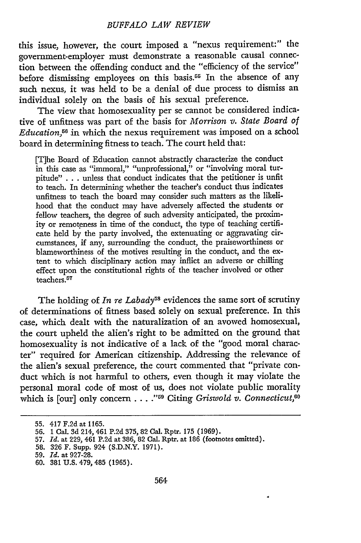## *BUFFALO LAW REVIEW*

this issue, however, the court imposed a "nexus requirement:" the government-employer must demonstrate a reasonable causal connection between the offending conduct and the "efficiency of the service" before dismissing employees on this basis.<sup>55</sup> In the absence of any such nexus, it was held to be a denial of due process to dismiss an individual solely on the basis of his sexual preference.

The view that homosexuality per se cannot be considered indicative of unfitness was part of the basis for *Morrison v. State Board of Education,6* in which the nexus requirement was imposed on a school board in determining fitness to teach. The court held that:

[T]he Board of Education cannot abstractly characterize the conduct in this case as "immoral," "unprofessional," or "involving moral turpitude" **. ..** unless that conduct indicates that the petitioner is unfit to teach. In determining whether the teacher's conduct thus indicates unfitness to teach the board may consider such matters as the likelihood that the conduct may have adversely affected the students or fellow teachers, the degree of such adversity anticipated, the proximity or remoteness in time of the conduct, the type of teaching certificate held **by** the party involved, the extenuating or aggravating circumstances, if any, surrounding the conduct, the praiseworthiness or blameworthiness of the motives resulting in the conduct, and the extent to which disciplinary action may inflict an adverse or chilling effect upon the constitutional rights of the teacher involved or other teachers.<sup>57</sup>

The holding of *In re Labady*<sup>58</sup> evidences the same sort of scrutiny of determinations of fitness based solely on sexual preference. In this case, which dealt with the naturalization of an avowed homosexual, the court upheld the alien's right to be admitted on the ground that homosexuality is not indicative of a lack of the "good moral character" required for American citizenship. Addressing the relevance of the alien's sexual preference, the court commented that "private conduct which is not harmful to others, even though it may violate the personal moral code of most of us, does not violate public morality which is [our] only concern . . . . "<sup>59</sup> Citing *Griswold v. Connecticut*,<sup>00</sup>

<sup>55. 417</sup> F.2d at 1165.

<sup>56. 1</sup> Cal. **3d** 214, 461 P.2d 375, 82 Cal. Rptr. 175 (1969).

<sup>57.</sup> *Id.* at 229, 461 P.2d at 386, 82 Cal. Rptr. at 186 (footnotes omitted).

<sup>58. 326</sup> F. Supp. 924 (S.D.N.Y. 1971).

<sup>59.</sup> *Id.* at 927-28.

<sup>60. 381</sup> U.S. 479,485 (1965).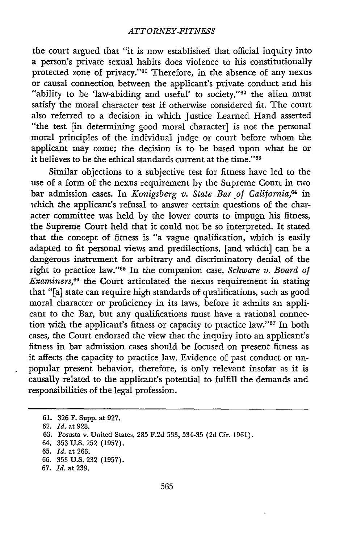the court argued that "it is now established that official inquiry into a person's private sexual habits does violence to his constitutionally protected zone of privacy."<sup>61</sup> Therefore, in the absence of any nexus or causal connection between the applicant's private conduct and his "ability to be 'law-abiding and useful' to society," $62$  the alien must satisfy the moral character test if otherwise considered fit. The court also referred to a decision in which Justice Learned Hand asserted "the test [in determining good moral character] is not the personal moral principles of the individual judge or court before whom the applicant may come; the decision is to be based upon what he or it believes to be the ethical standards current at the time."<sup>63</sup>

Similar objections to a subjective test for fitness have led to the use of a form of the nexus requirement by the Supreme Court in two bar admission cases. In *Konigsberg v. State Bar of California*,<sup>64</sup> in which the applicant's refusal to answer certain questions of the character committee was held by the lower courts to impugn his fitness, the Supreme Court held that it could not be so interpreted. It stated that the concept of fitness is "a vague qualification, which is easily adapted to fit personal views and predilections, [and which] can be a dangerous instrument for arbitrary and discriminatory denial of the right to practice law."<sup>65</sup> In the companion case, *Schware v. Board of Examiners*,<sup>66</sup> the Court articulated the nexus requirement in stating that "[a] state can require high standards of qualifications, such as good moral character or proficiency in its laws, before it admits an applicant to the Bar, but any qualifications must have a rational connection with the applicant's fitness or capacity to practice law."<sup>67</sup> In both cases, the Court endorsed the view that the inquiry into an applicant's fitness in bar admission cases should be focused on present fitness as it affects the capacity to practice law. Evidence of past conduct or unpopular present behavior, therefore, is only relevant insofar as it is causally related to the applicant's potential to fulfill the demands and responsibilities of the legal profession.

<sup>61. 326</sup> F. Supp. at 927.

**<sup>62.</sup>** *Id.* at 928.

**<sup>63.</sup>** Posusta v. United States, 285 F.2d 533, 534-35 **(2d** Cir. 1961).

<sup>64.</sup> **353** U.S. 252 (1957).

**<sup>65.</sup>** *Id.* at 263.

<sup>66. 353</sup> U.S. 232 (1957).

**<sup>67.</sup>** *Id.* at 239.